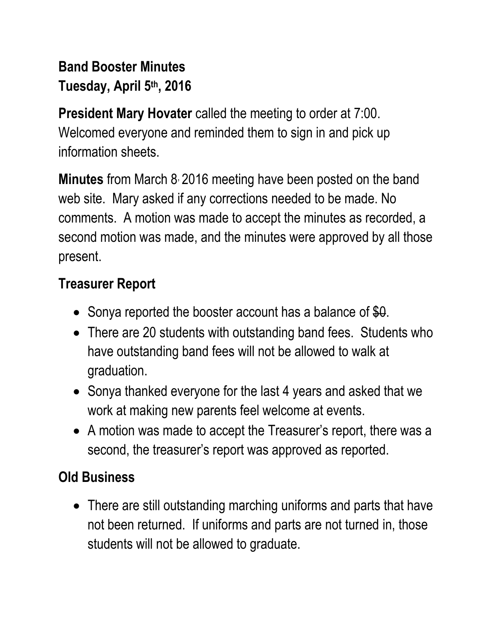# **Band Booster Minutes Tuesday, April 5th, 2016**

**President Mary Hovater** called the meeting to order at 7:00. Welcomed everyone and reminded them to sign in and pick up information sheets.

**Minutes** from March 8, 2016 meeting have been posted on the band web site. Mary asked if any corrections needed to be made. No comments. A motion was made to accept the minutes as recorded, a second motion was made, and the minutes were approved by all those present.

# **Treasurer Report**

- Sonya reported the booster account has a balance of  $$0.$
- There are 20 students with outstanding band fees. Students who have outstanding band fees will not be allowed to walk at graduation.
- Sonya thanked everyone for the last 4 years and asked that we work at making new parents feel welcome at events.
- A motion was made to accept the Treasurer's report, there was a second, the treasurer's report was approved as reported.

# **Old Business**

• There are still outstanding marching uniforms and parts that have not been returned. If uniforms and parts are not turned in, those students will not be allowed to graduate.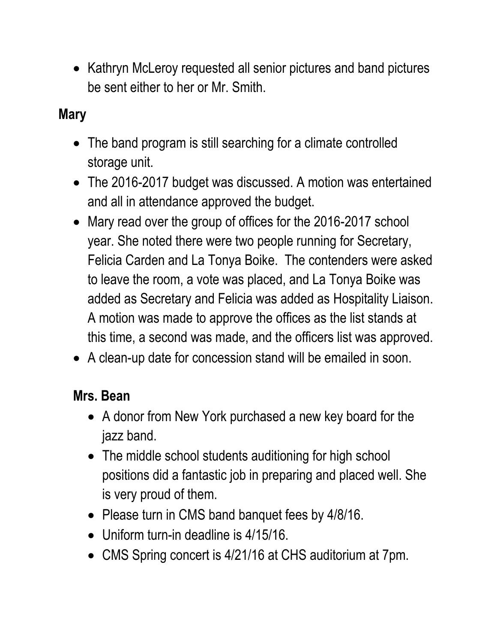• Kathryn McLeroy requested all senior pictures and band pictures be sent either to her or Mr. Smith.

### **Mary**

- The band program is still searching for a climate controlled storage unit.
- The 2016-2017 budget was discussed. A motion was entertained and all in attendance approved the budget.
- Mary read over the group of offices for the 2016-2017 school year. She noted there were two people running for Secretary, Felicia Carden and La Tonya Boike. The contenders were asked to leave the room, a vote was placed, and La Tonya Boike was added as Secretary and Felicia was added as Hospitality Liaison. A motion was made to approve the offices as the list stands at this time, a second was made, and the officers list was approved.
- A clean-up date for concession stand will be emailed in soon.

#### **Mrs. Bean**

- A donor from New York purchased a new key board for the jazz band.
- The middle school students auditioning for high school positions did a fantastic job in preparing and placed well. She is very proud of them.
- Please turn in CMS band banquet fees by 4/8/16.
- Uniform turn-in deadline is 4/15/16.
- CMS Spring concert is 4/21/16 at CHS auditorium at 7pm.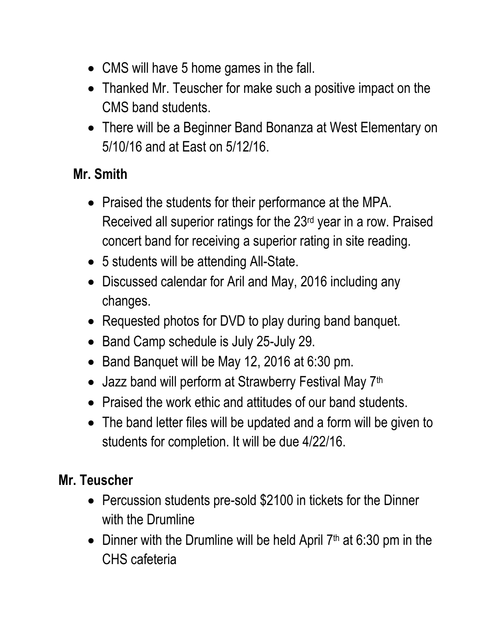- CMS will have 5 home games in the fall.
- Thanked Mr. Teuscher for make such a positive impact on the CMS band students.
- There will be a Beginner Band Bonanza at West Elementary on 5/10/16 and at East on 5/12/16.

### **Mr. Smith**

- Praised the students for their performance at the MPA. Received all superior ratings for the 23rd year in a row. Praised concert band for receiving a superior rating in site reading.
- 5 students will be attending All-State.
- Discussed calendar for Aril and May, 2016 including any changes.
- Requested photos for DVD to play during band banquet.
- Band Camp schedule is July 25-July 29.
- Band Banquet will be May 12, 2016 at 6:30 pm.
- Jazz band will perform at Strawberry Festival May 7<sup>th</sup>
- Praised the work ethic and attitudes of our band students.
- The band letter files will be updated and a form will be given to students for completion. It will be due 4/22/16.

### **Mr. Teuscher**

- Percussion students pre-sold \$2100 in tickets for the Dinner with the Drumline
- Dinner with the Drumline will be held April  $7<sup>th</sup>$  at 6:30 pm in the CHS cafeteria